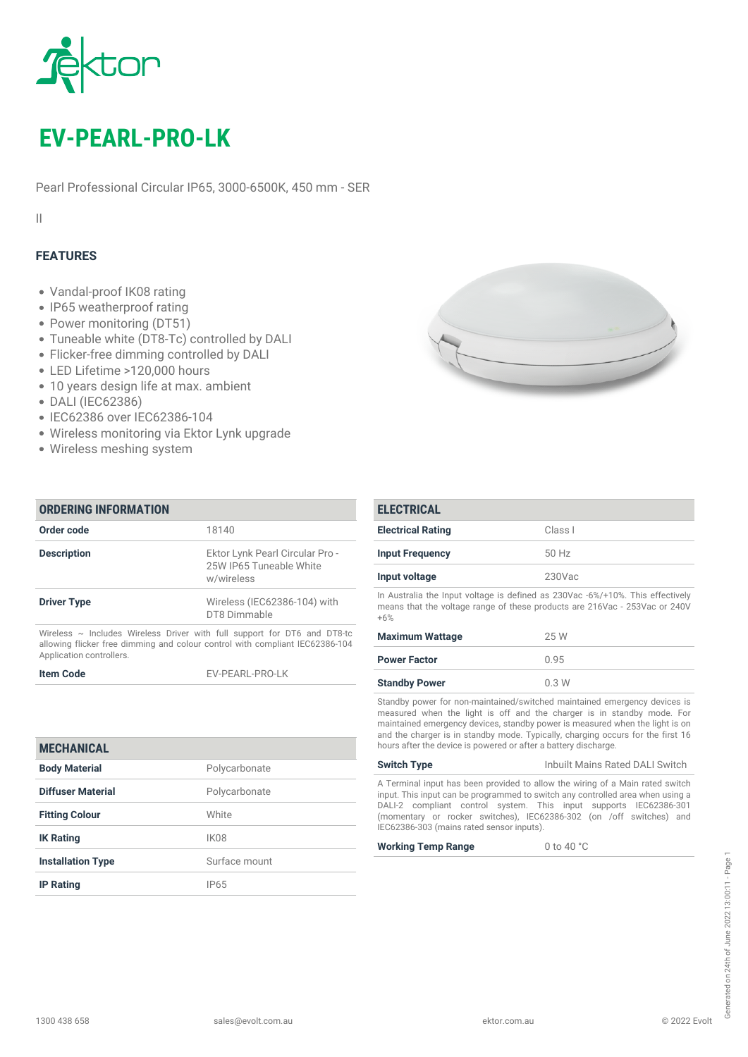

# *EV-PEARL-PRO-LK*

*Pearl Professional Circular IP65, 3000-6500K, 450 mm - SER*

*II*

## *FEATURES*

- *Vandal-proof IK08 rating*
- *IP65 weatherproof rating*
- *Power monitoring (DT51)*
- *Tuneable white (DT8-Tc) controlled by DALI*
- *Flicker-free dimming controlled by DALI*
- *LED Lifetime >120,000 hours*
- *10 years design life at max. ambient*
- *DALI (IEC62386)*
- *IEC62386 over IEC62386-104*

*IK Rating IK08*

*IP Rating IP65*

*Installation Type Surface mount*

- *Wireless monitoring via Ektor Lynk upgrade*
- *Wireless meshing system*

*ORDERING INFORMATION*

| Order code                                                                                                                                                                                | 18140                                                                    |  |
|-------------------------------------------------------------------------------------------------------------------------------------------------------------------------------------------|--------------------------------------------------------------------------|--|
| <b>Description</b>                                                                                                                                                                        | Ektor Lynk Pearl Circular Pro -<br>25W IP65 Tuneable White<br>w/wireless |  |
| <b>Driver Type</b>                                                                                                                                                                        | Wireless (IEC62386-104) with<br>DT8 Dimmable                             |  |
| Wireless $\sim$ Includes Wireless Driver with full support for DT6 and DT8-tc<br>allowing flicker free dimming and colour control with compliant IEC62386-104<br>Application controllers. |                                                                          |  |
| <b>Item Code</b>                                                                                                                                                                          | <b>FV-PFARI-PRO-IK</b>                                                   |  |
| <b>MECHANICAL</b>                                                                                                                                                                         |                                                                          |  |
| <b>Body Material</b>                                                                                                                                                                      | Polycarbonate                                                            |  |
| Diffuser Material                                                                                                                                                                         | Polycarbonate                                                            |  |
| <b>Fitting Colour</b>                                                                                                                                                                     | White                                                                    |  |

| <b>ELECTRICAL</b>        |         |
|--------------------------|---------|
| <b>Electrical Rating</b> | Class I |
| <b>Input Frequency</b>   | 50 Hz   |
|                          |         |

*Input voltage 230Vac*

*In Australia the Input voltage is defined as 230Vac -6%/+10%. This effectively means that the voltage range of these products are 216Vac - 253Vac or 240V +6%*

| <b>Maximum Wattage</b> | 25 W |
|------------------------|------|
| <b>Power Factor</b>    | 0.95 |
| <b>Standby Power</b>   | 0.3W |

*Standby power for non-maintained/switched maintained emergency devices is measured when the light is off and the charger is in standby mode. For maintained emergency devices, standby power is measured when the light is on and the charger is in standby mode. Typically, charging occurs for the first 16 hours after the device is powered or after a battery discharge.*

| <b>Switch Type</b>                                                             | Inbuilt Mains Rated DALI Switch |
|--------------------------------------------------------------------------------|---------------------------------|
| A Terminal input has been provided to allow the wiring of a Main rated switch  |                                 |
| input. This input can be programmed to switch any controlled area when using a |                                 |
| DALLO compliant control quotant This input quantum IEOCOODCOO1                 |                                 |

*DALI-2 compliant control system. This input supports IEC62386-301 (momentary or rocker switches), IEC62386-302 (on /off switches) and IEC62386-303 (mains rated sensor inputs).*

*Working Temp Range 0 to 40 °C*